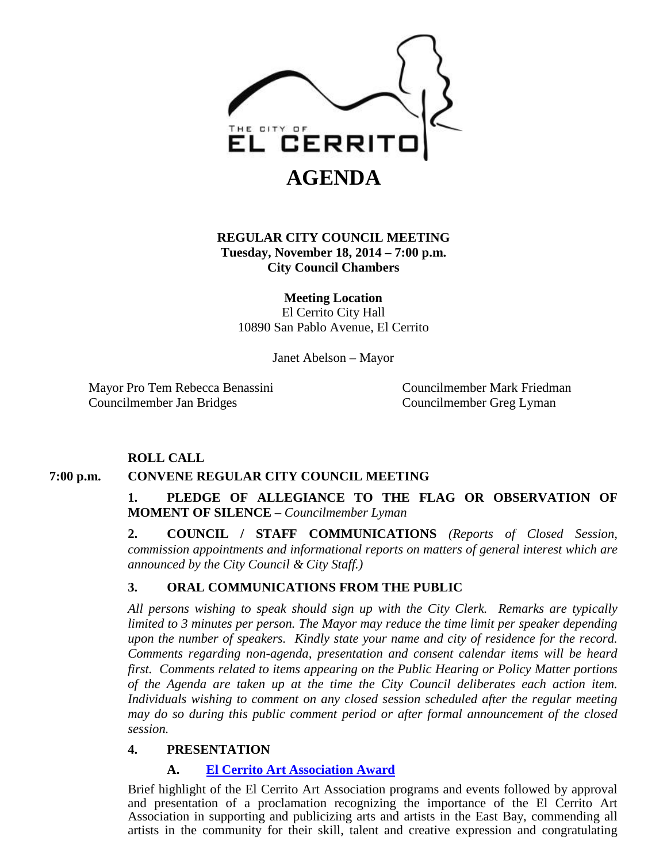

## **REGULAR CITY COUNCIL MEETING Tuesday, November 18, 2014 – 7:00 p.m. City Council Chambers**

**Meeting Location** El Cerrito City Hall 10890 San Pablo Avenue, El Cerrito

Janet Abelson – Mayor

Mayor Pro Tem Rebecca Benassini Councilmember Mark Friedman Councilmember Jan Bridges Councilmember Greg Lyman

## **ROLL CALL**

## **7:00 p.m. CONVENE REGULAR CITY COUNCIL MEETING**

**1. PLEDGE OF ALLEGIANCE TO THE FLAG OR OBSERVATION OF MOMENT OF SILENCE** – *Councilmember Lyman*

**2. COUNCIL / STAFF COMMUNICATIONS** *(Reports of Closed Session, commission appointments and informational reports on matters of general interest which are announced by the City Council & City Staff.)*

## **3. ORAL COMMUNICATIONS FROM THE PUBLIC**

*All persons wishing to speak should sign up with the City Clerk. Remarks are typically limited to 3 minutes per person. The Mayor may reduce the time limit per speaker depending upon the number of speakers. Kindly state your name and city of residence for the record. Comments regarding non-agenda, presentation and consent calendar items will be heard first. Comments related to items appearing on the Public Hearing or Policy Matter portions of the Agenda are taken up at the time the City Council deliberates each action item. Individuals wishing to comment on any closed session scheduled after the regular meeting may do so during this public comment period or after formal announcement of the closed session.*

## **4. PRESENTATION**

## **A. [El Cerrito Art Association Award](http://www.el-cerrito.org/DocumentCenter/View/4162)**

Brief highlight of the El Cerrito Art Association programs and events followed by approval and presentation of a proclamation recognizing the importance of the El Cerrito Art Association in supporting and publicizing arts and artists in the East Bay, commending all artists in the community for their skill, talent and creative expression and congratulating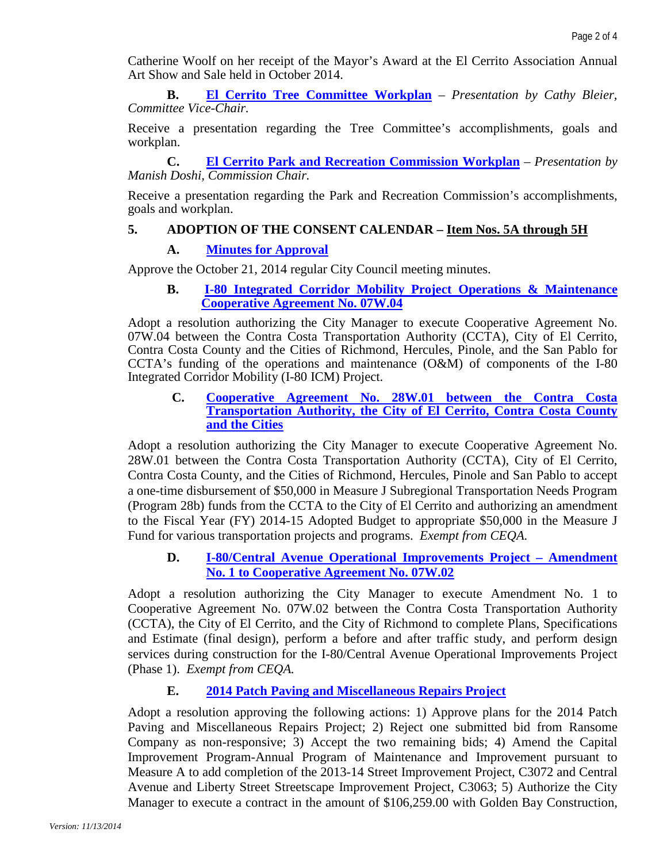Catherine Woolf on her receipt of the Mayor's Award at the El Cerrito Association Annual Art Show and Sale held in October 2014.

**B. [El Cerrito Tree Committee Workplan](http://www.el-cerrito.org/DocumentCenter/View/4163)** – *Presentation by Cathy Bleier, Committee Vice-Chair.*

Receive a presentation regarding the Tree Committee's accomplishments, goals and workplan.

**C. [El Cerrito Park and Recreation Commission Workplan](http://www.el-cerrito.org/DocumentCenter/View/4164)** – *Presentation by Manish Doshi, Commission Chair.*

Receive a presentation regarding the Park and Recreation Commission's accomplishments, goals and workplan.

#### **5. ADOPTION OF THE CONSENT CALENDAR – Item Nos. 5A through 5H**

#### **A. [Minutes for Approval](http://www.el-cerrito.org/DocumentCenter/View/4165)**

Approve the October 21, 2014 regular City Council meeting minutes.

#### **B. [I-80 Integrated Corridor Mobility Project Operations & Maintenance](http://www.el-cerrito.org/DocumentCenter/View/4166) [Cooperative Agreement](http://www.el-cerrito.org/DocumentCenter/View/4166) No. 07W.04**

Adopt a resolution authorizing the City Manager to execute Cooperative Agreement No. 07W.04 between the Contra Costa Transportation Authority (CCTA), City of El Cerrito, Contra Costa County and the Cities of Richmond, Hercules, Pinole, and the San Pablo for CCTA's funding of the operations and maintenance (O&M) of components of the I-80 Integrated Corridor Mobility (I-80 ICM) Project.

**C. [Cooperative Agreement No. 28W.01 between the Contra Costa](http://www.el-cerrito.org/DocumentCenter/View/4167)  [Transportation Authority, the City of El Cerrito, Contra Costa County](http://www.el-cerrito.org/DocumentCenter/View/4167)  [and the Cities](http://www.el-cerrito.org/DocumentCenter/View/4167)**

Adopt a resolution authorizing the City Manager to execute Cooperative Agreement No. 28W.01 between the Contra Costa Transportation Authority (CCTA), City of El Cerrito, Contra Costa County, and the Cities of Richmond, Hercules, Pinole and San Pablo to accept a one-time disbursement of \$50,000 in Measure J Subregional Transportation Needs Program (Program 28b) funds from the CCTA to the City of El Cerrito and authorizing an amendment to the Fiscal Year (FY) 2014-15 Adopted Budget to appropriate \$50,000 in the Measure J Fund for various transportation projects and programs. *Exempt from CEQA.*

**D. [I-80/Central Avenue Operational Improvements Project –](http://www.el-cerrito.org/DocumentCenter/View/4168) Amendment [No. 1 to Cooperative Agreement No. 07W.02](http://www.el-cerrito.org/DocumentCenter/View/4168)**

Adopt a resolution authorizing the City Manager to execute Amendment No. 1 to Cooperative Agreement No. 07W.02 between the Contra Costa Transportation Authority (CCTA), the City of El Cerrito, and the City of Richmond to complete Plans, Specifications and Estimate (final design), perform a before and after traffic study, and perform design services during construction for the I-80/Central Avenue Operational Improvements Project (Phase 1). *Exempt from CEQA.*

## **E. [2014 Patch Paving and Miscellaneous Repairs Project](http://www.el-cerrito.org/DocumentCenter/View/4169)**

Adopt a resolution approving the following actions: 1) Approve plans for the 2014 Patch Paving and Miscellaneous Repairs Project; 2) Reject one submitted bid from Ransome Company as non-responsive; 3) Accept the two remaining bids; 4) Amend the Capital Improvement Program-Annual Program of Maintenance and Improvement pursuant to Measure A to add completion of the 2013-14 Street Improvement Project, C3072 and Central Avenue and Liberty Street Streetscape Improvement Project, C3063; 5) Authorize the City Manager to execute a contract in the amount of \$106,259.00 with Golden Bay Construction,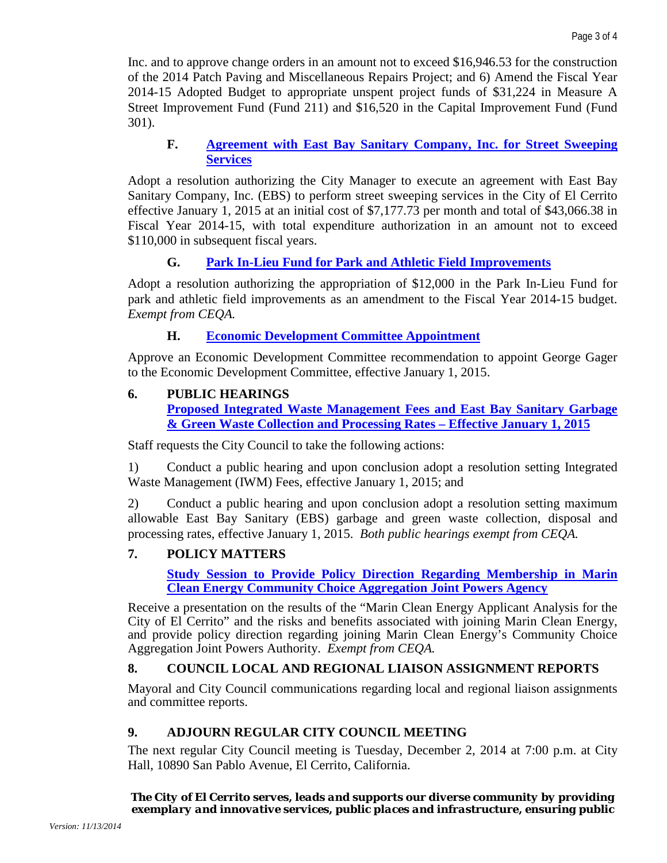Inc. and to approve change orders in an amount not to exceed \$16,946.53 for the construction of the 2014 Patch Paving and Miscellaneous Repairs Project; and 6) Amend the Fiscal Year 2014-15 Adopted Budget to appropriate unspent project funds of \$31,224 in Measure A Street Improvement Fund (Fund 211) and \$16,520 in the Capital Improvement Fund (Fund 301).

## **F. [Agreement with East Bay Sanitary Company, Inc. for Street Sweeping](http://www.el-cerrito.org/DocumentCenter/View/4170)  [Services](http://www.el-cerrito.org/DocumentCenter/View/4170)**

Adopt a resolution authorizing the City Manager to execute an agreement with East Bay Sanitary Company, Inc. (EBS) to perform street sweeping services in the City of El Cerrito effective January 1, 2015 at an initial cost of \$7,177.73 per month and total of \$43,066.38 in Fiscal Year 2014-15, with total expenditure authorization in an amount not to exceed \$110,000 in subsequent fiscal years.

# **G. [Park In-Lieu Fund for Park and Athletic Field Improvements](http://www.el-cerrito.org/DocumentCenter/View/4171)**

Adopt a resolution authorizing the appropriation of \$12,000 in the Park In-Lieu Fund for park and athletic field improvements as an amendment to the Fiscal Year 2014-15 budget. *Exempt from CEQA.*

# **H. [Economic Development Committee Appointment](http://www.el-cerrito.org/DocumentCenter/View/4172)**

Approve an Economic Development Committee recommendation to appoint George Gager to the Economic Development Committee, effective January 1, 2015.

## **6. PUBLIC HEARINGS**

**Proposed [Integrated Waste Management Fees and East Bay Sanitary Garbage](http://www.el-cerrito.org/DocumentCenter/View/4173)  [& Green Waste Collection and Processing Rates –](http://www.el-cerrito.org/DocumentCenter/View/4173) Effective January 1, 2015**

Staff requests the City Council to take the following actions:

1) Conduct a public hearing and upon conclusion adopt a resolution setting Integrated Waste Management (IWM) Fees, effective January 1, 2015; and

2) Conduct a public hearing and upon conclusion adopt a resolution setting maximum allowable East Bay Sanitary (EBS) garbage and green waste collection, disposal and processing rates, effective January 1, 2015. *Both public hearings exempt from CEQA.*

# **7. POLICY MATTERS**

**[Study Session to Provide Policy Direction](http://www.el-cerrito.org/DocumentCenter/View/4174) Regarding Membership in Marin [Clean Energy Community Choice Aggregation](http://www.el-cerrito.org/DocumentCenter/View/4174) Joint Powers Agency**

Receive a presentation on the results of the "Marin Clean Energy Applicant Analysis for the City of El Cerrito" and the risks and benefits associated with joining Marin Clean Energy, and provide policy direction regarding joining Marin Clean Energy's Community Choice Aggregation Joint Powers Authority. *Exempt from CEQA.*

# **8. COUNCIL LOCAL AND REGIONAL LIAISON ASSIGNMENT REPORTS**

Mayoral and City Council communications regarding local and regional liaison assignments and committee reports.

# **9. ADJOURN REGULAR CITY COUNCIL MEETING**

The next regular City Council meeting is Tuesday, December 2, 2014 at 7:00 p.m. at City Hall, 10890 San Pablo Avenue, El Cerrito, California.

*The City of El Cerrito serves, leads and supports our diverse community by providing exemplary and innovative services, public places and infrastructure, ensuring public*